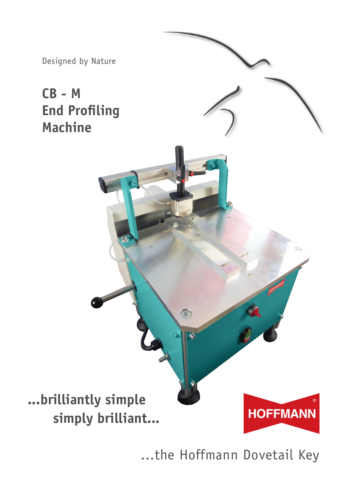

...the Hoffmann Dovetail Key